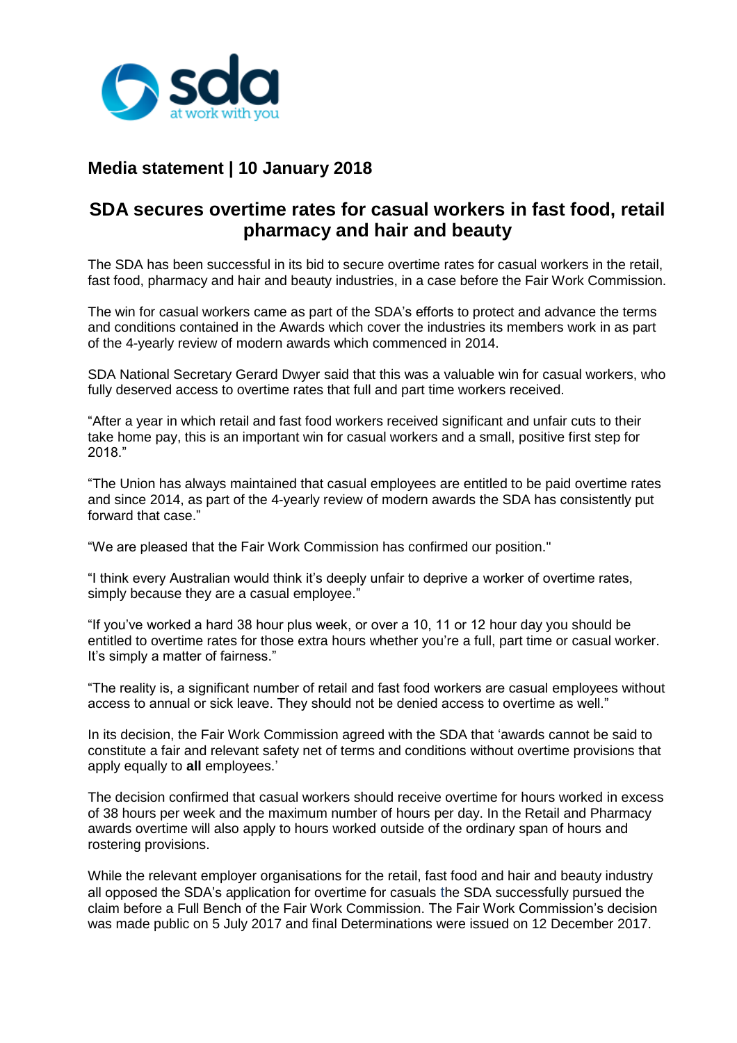

## **Media statement | 10 January 2018**

## **SDA secures overtime rates for casual workers in fast food, retail pharmacy and hair and beauty**

The SDA has been successful in its bid to secure overtime rates for casual workers in the retail, fast food, pharmacy and hair and beauty industries, in a case before the Fair Work Commission.

The win for casual workers came as part of the SDA's efforts to protect and advance the terms and conditions contained in the Awards which cover the industries its members work in as part of the 4-yearly review of modern awards which commenced in 2014.

SDA National Secretary Gerard Dwyer said that this was a valuable win for casual workers, who fully deserved access to overtime rates that full and part time workers received.

"After a year in which retail and fast food workers received significant and unfair cuts to their take home pay, this is an important win for casual workers and a small, positive first step for 2018."

"The Union has always maintained that casual employees are entitled to be paid overtime rates and since 2014, as part of the 4-yearly review of modern awards the SDA has consistently put forward that case."

"We are pleased that the Fair Work Commission has confirmed our position."

"I think every Australian would think it's deeply unfair to deprive a worker of overtime rates, simply because they are a casual employee."

"If you've worked a hard 38 hour plus week, or over a 10, 11 or 12 hour day you should be entitled to overtime rates for those extra hours whether you're a full, part time or casual worker. It's simply a matter of fairness."

"The reality is, a significant number of retail and fast food workers are casual employees without access to annual or sick leave. They should not be denied access to overtime as well."

In its decision, the Fair Work Commission agreed with the SDA that 'awards cannot be said to constitute a fair and relevant safety net of terms and conditions without overtime provisions that apply equally to **all** employees.'

The decision confirmed that casual workers should receive overtime for hours worked in excess of 38 hours per week and the maximum number of hours per day. In the Retail and Pharmacy awards overtime will also apply to hours worked outside of the ordinary span of hours and rostering provisions.

While the relevant employer organisations for the retail, fast food and hair and beauty industry all opposed the SDA's application for overtime for casuals the SDA successfully pursued the claim before a Full Bench of the Fair Work Commission. The Fair Work Commission's decision was made public on 5 July 2017 and final Determinations were issued on 12 December 2017.